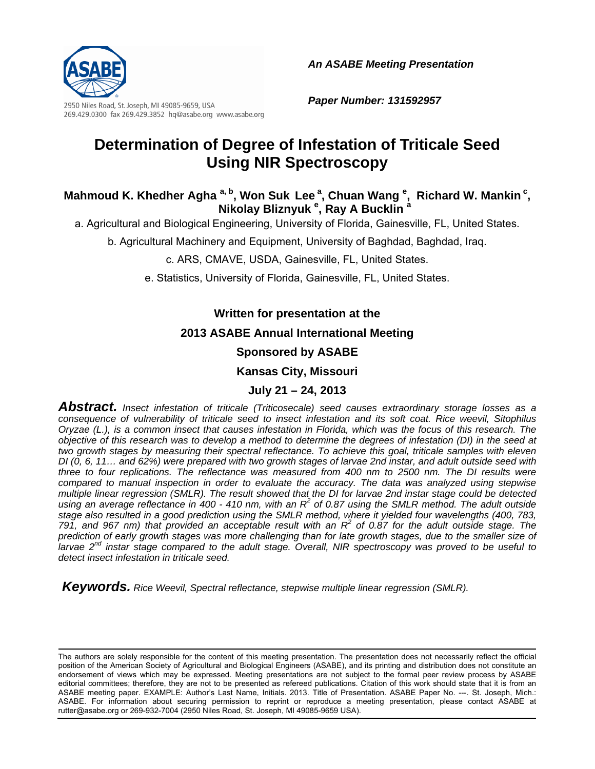

*An ASABE Meeting Presentation* 

2950 Niles Road, St. Joseph, MI 49085-9659, USA 269.429.0300 fax 269.429.3852 hq@asabe.org www.asabe.org *Paper Number: 131592957* 

# **Determination of Degree of Infestation of Triticale Seed Using NIR Spectroscopy**

### Mahmoud K. Khedher Agha <sup>a, b</sup>, Won Suk Lee <sup>a</sup>, Chuan Wang <sup>e</sup>, Richard W. Mankin <sup>c</sup>, **Nikolay Bliznyuk <sup>e</sup> , Ray A Bucklin <sup>a</sup>**

a. Agricultural and Biological Engineering, University of Florida, Gainesville, FL, United States.

b. Agricultural Machinery and Equipment, University of Baghdad, Baghdad, Iraq.

c. ARS, CMAVE, USDA, Gainesville, FL, United States.

e. Statistics, University of Florida, Gainesville, FL, United States.

### **Written for presentation at the**

### **2013 ASABE Annual International Meeting**

### **Sponsored by ASABE**

### **Kansas City, Missouri**

### **July 21 – 24, 2013**

*Abstract. Insect infestation of triticale (Triticosecale) seed causes extraordinary storage losses as a consequence of vulnerability of triticale seed to insect infestation and its soft coat. Rice weevil, Sitophilus Oryzae (L.), is a common insect that causes infestation in Florida, which was the focus of this research. The objective of this research was to develop a method to determine the degrees of infestation (DI) in the seed at two growth stages by measuring their spectral reflectance. To achieve this goal, triticale samples with eleven DI (0, 6, 11… and 62%) were prepared with two growth stages of larvae 2nd instar, and adult outside seed with three to four replications. The reflectance was measured from 400 nm to 2500 nm. The DI results were compared to manual inspection in order to evaluate the accuracy. The data was analyzed using stepwise multiple linear regression (SMLR). The result showed that the DI for larvae 2nd instar stage could be detected*  using an average reflectance in 400 - 410 nm, with an R<sup>2</sup> of 0.87 using the SMLR method. The adult outside *stage also resulted in a good prediction using the SMLR method, where it yielded four wavelengths (400, 783, 791, and 967 nm) that provided an acceptable result with an R<sup>2</sup> of 0.87 for the adult outside stage. The prediction of early growth stages was more challenging than for late growth stages, due to the smaller size of larvae 2nd instar stage compared to the adult stage. Overall, NIR spectroscopy was proved to be useful to detect insect infestation in triticale seed.* 

 *Keywords. Rice Weevil, Spectral reflectance, stepwise multiple linear regression (SMLR).* 

The authors are solely responsible for the content of this meeting presentation. The presentation does not necessarily reflect the official position of the American Society of Agricultural and Biological Engineers (ASABE), and its printing and distribution does not constitute an endorsement of views which may be expressed. Meeting presentations are not subject to the formal peer review process by ASABE editorial committees; therefore, they are not to be presented as refereed publications. Citation of this work should state that it is from an ASABE meeting paper. EXAMPLE: Author's Last Name, Initials. 2013. Title of Presentation. ASABE Paper No. ---. St. Joseph, Mich.: ASABE. For information about securing permission to reprint or reproduce a meeting presentation, please contact ASABE at rutter@asabe.org or 269-932-7004 (2950 Niles Road, St. Joseph, MI 49085-9659 USA).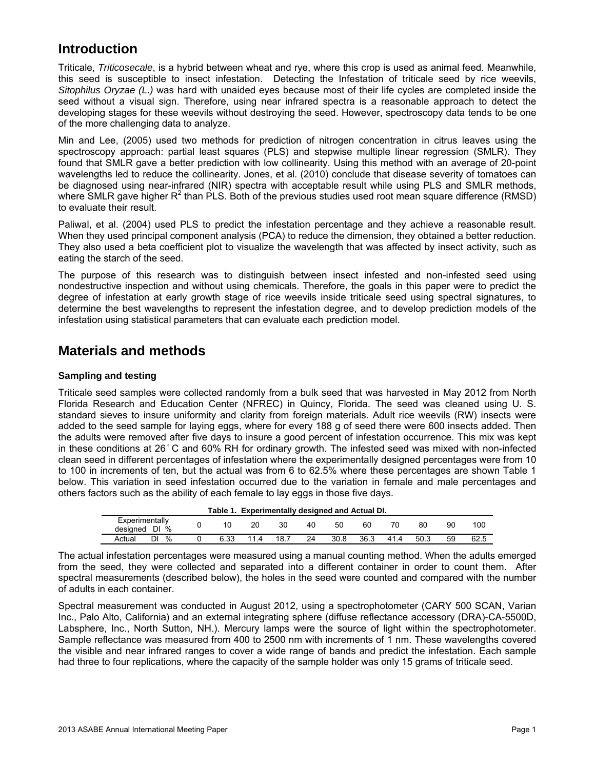## **Introduction**

Triticale, *Triticosecale*, is a hybrid between wheat and rye, where this crop is used as animal feed. Meanwhile, this seed is susceptible to insect infestation. Detecting the Infestation of triticale seed by rice weevils, *Sitophilus Oryzae (L.)* was hard with unaided eyes because most of their life cycles are completed inside the seed without a visual sign. Therefore, using near infrared spectra is a reasonable approach to detect the developing stages for these weevils without destroying the seed. However, spectroscopy data tends to be one of the more challenging data to analyze.

Min and Lee, (2005) used two methods for prediction of nitrogen concentration in citrus leaves using the spectroscopy approach: partial least squares (PLS) and stepwise multiple linear regression (SMLR). They found that SMLR gave a better prediction with low collinearity. Using this method with an average of 20-point wavelengths led to reduce the collinearity. Jones, et al. (2010) conclude that disease severity of tomatoes can be diagnosed using near-infrared (NIR) spectra with acceptable result while using PLS and SMLR methods, where SMLR gave higher R<sup>2</sup> than PLS. Both of the previous studies used root mean square difference (RMSD) to evaluate their result.

Paliwal, et al. (2004) used PLS to predict the infestation percentage and they achieve a reasonable result. When they used principal component analysis (PCA) to reduce the dimension, they obtained a better reduction. They also used a beta coefficient plot to visualize the wavelength that was affected by insect activity, such as eating the starch of the seed.

The purpose of this research was to distinguish between insect infested and non-infested seed using nondestructive inspection and without using chemicals. Therefore, the goals in this paper were to predict the degree of infestation at early growth stage of rice weevils inside triticale seed using spectral signatures, to determine the best wavelengths to represent the infestation degree, and to develop prediction models of the infestation using statistical parameters that can evaluate each prediction model.

## **Materials and methods**

#### **Sampling and testing**

Triticale seed samples were collected randomly from a bulk seed that was harvested in May 2012 from North Florida Research and Education Center (NFREC) in Quincy, Florida. The seed was cleaned using U. S. standard sieves to insure uniformity and clarity from foreign materials. Adult rice weevils (RW) insects were added to the seed sample for laying eggs, where for every 188 g of seed there were 600 insects added. Then the adults were removed after five days to insure a good percent of infestation occurrence. This mix was kept in these conditions at 26 ̊ C and 60% RH for ordinary growth. The infested seed was mixed with non-infected clean seed in different percentages of infestation where the experimentally designed percentages were from 10 to 100 in increments of ten, but the actual was from 6 to 62.5% where these percentages are shown Table 1 below. This variation in seed infestation occurred due to the variation in female and male percentages and others factors such as the ability of each female to lay eggs in those five days.

| Table 1. Experimentally designed and Actual DI. |  |      |      |      |    |      |      |      |      |    |      |
|-------------------------------------------------|--|------|------|------|----|------|------|------|------|----|------|
| Experimentally<br>designed DI %                 |  |      | 20   | 30   | 40 | 50   | 60   |      | 80   | 90 | 100  |
| $\frac{0}{6}$<br>DI<br>Actual                   |  | 6.33 | 11.4 | 18.7 | 24 | 30.8 | 36.3 | 41.4 | 50.3 | 59 | 62.5 |

The actual infestation percentages were measured using a manual counting method. When the adults emerged from the seed, they were collected and separated into a different container in order to count them. After spectral measurements (described below), the holes in the seed were counted and compared with the number of adults in each container.

Spectral measurement was conducted in August 2012, using a spectrophotometer (CARY 500 SCAN, Varian Inc., Palo Alto, California) and an external integrating sphere (diffuse reflectance accessory (DRA)-CA-5500D, Labsphere, Inc., North Sutton, NH.). Mercury lamps were the source of light within the spectrophotometer. Sample reflectance was measured from 400 to 2500 nm with increments of 1 nm. These wavelengths covered the visible and near infrared ranges to cover a wide range of bands and predict the infestation. Each sample had three to four replications, where the capacity of the sample holder was only 15 grams of triticale seed.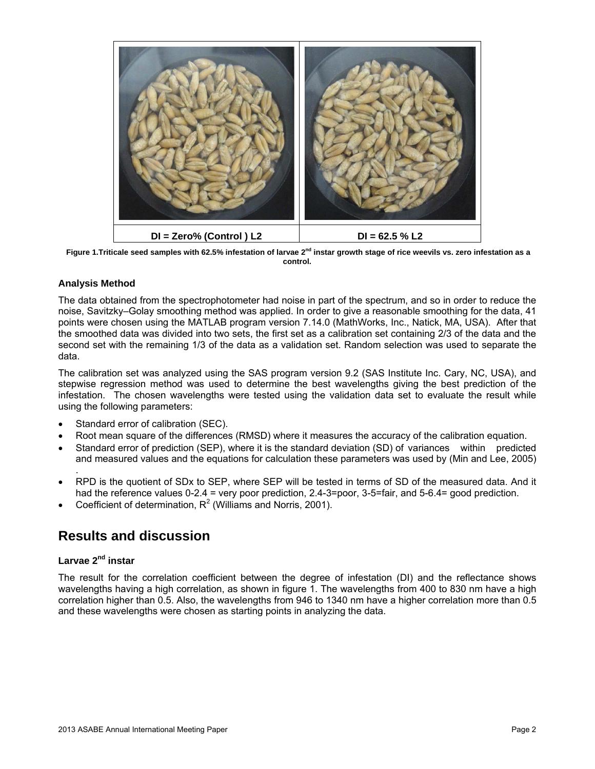

Figure 1.Triticale seed samples with 62.5% infestation of larvae 2<sup>nd</sup> instar growth stage of rice weevils vs. zero infestation as a **control.** 

#### **Analysis Method**

The data obtained from the spectrophotometer had noise in part of the spectrum, and so in order to reduce the noise, Savitzky–Golay smoothing method was applied. In order to give a reasonable smoothing for the data, 41 points were chosen using the MATLAB program version 7.14.0 (MathWorks, Inc., Natick, MA, USA). After that the smoothed data was divided into two sets, the first set as a calibration set containing 2/3 of the data and the second set with the remaining 1/3 of the data as a validation set. Random selection was used to separate the data.

The calibration set was analyzed using the SAS program version 9.2 (SAS Institute Inc. Cary, NC, USA), and stepwise regression method was used to determine the best wavelengths giving the best prediction of the infestation. The chosen wavelengths were tested using the validation data set to evaluate the result while using the following parameters:

- Standard error of calibration (SEC).
- Root mean square of the differences (RMSD) where it measures the accuracy of the calibration equation.
- Standard error of prediction (SEP), where it is the standard deviation (SD) of variances within predicted and measured values and the equations for calculation these parameters was used by (Min and Lee, 2005)
- . RPD is the quotient of SDx to SEP, where SEP will be tested in terms of SD of the measured data. And it had the reference values 0-2.4 = very poor prediction, 2.4-3=poor, 3-5=fair, and 5-6.4= good prediction.
- Coefficient of determination,  $R^2$  (Williams and Norris, 2001).

## **Results and discussion**

#### **Larvae 2nd instar**

The result for the correlation coefficient between the degree of infestation (DI) and the reflectance shows wavelengths having a high correlation, as shown in figure 1. The wavelengths from 400 to 830 nm have a high correlation higher than 0.5. Also, the wavelengths from 946 to 1340 nm have a higher correlation more than 0.5 and these wavelengths were chosen as starting points in analyzing the data.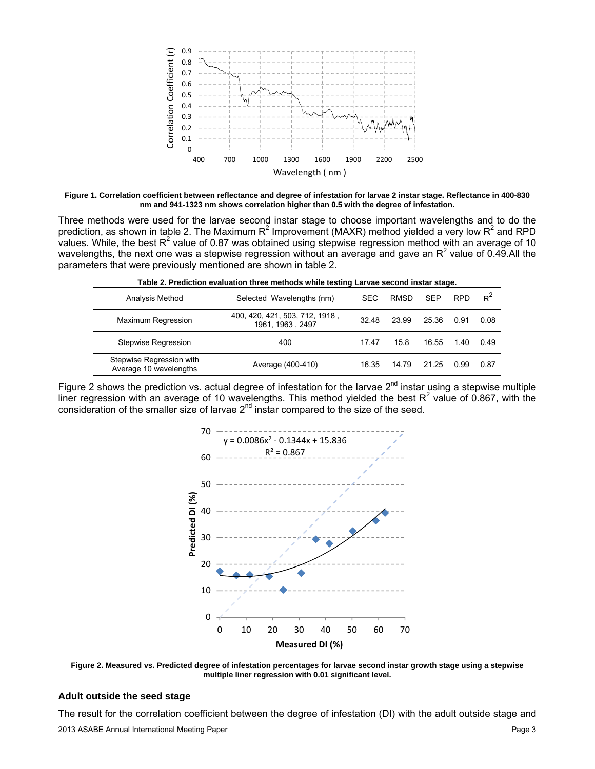

**Figure 1. Correlation coefficient between reflectance and degree of infestation for larvae 2 instar stage. Reflectance in 400-830 nm and 941-1323 nm shows correlation higher than 0.5 with the degree of infestation.** 

Three methods were used for the larvae second instar stage to choose important wavelengths and to do the prediction, as shown in table 2. The Maximum R<sup>2</sup> Improvement (MAXR) method yielded a very low R<sup>2</sup> and RPD values. While, the best R<sup>2</sup> value of 0.87 was obtained using stepwise regression method with an average of 10 wavelengths, the next one was a stepwise regression without an average and gave an  $R^2$  value of 0.49.All the parameters that were previously mentioned are shown in table 2.

| rable 2. Frediction evaluation three methous while testing Larvae second mistar stage. |                                                    |       |             |            |            |       |  |  |
|----------------------------------------------------------------------------------------|----------------------------------------------------|-------|-------------|------------|------------|-------|--|--|
| Analysis Method                                                                        | Selected Wavelengths (nm)                          | SEC.  | <b>RMSD</b> | <b>SEP</b> | <b>RPD</b> | $R^2$ |  |  |
| <b>Maximum Regression</b>                                                              | 400, 420, 421, 503, 712, 1918,<br>1961, 1963, 2497 | 32.48 | 23.99       | 25.36      | 0.91       | 0.08  |  |  |
| <b>Stepwise Regression</b>                                                             | 400                                                | 17.47 | 15.8        | 16.55      | 1.40       | 0.49  |  |  |
| Stepwise Regression with<br>Average 10 wavelengths                                     | Average (400-410)                                  | 16.35 | 14.79       | 21 25      | 0.99       | 0.87  |  |  |

**Table 2. Prediction evaluation three methods while testing Larvae second instar stage.** 

Figure 2 shows the prediction vs. actual degree of infestation for the larvae  $2^{nd}$  instar using a stepwise multiple liner regression with an average of 10 wavelengths. This method yielded the best  $R^2$  value of 0.867, with the consideration of the smaller size of larvae  $2<sup>nd</sup>$  instar compared to the size of the seed.



**Figure 2. Measured vs. Predicted degree of infestation percentages for larvae second instar growth stage using a stepwise multiple liner regression with 0.01 significant level.** 

#### **Adult outside the seed stage**

The result for the correlation coefficient between the degree of infestation (DI) with the adult outside stage and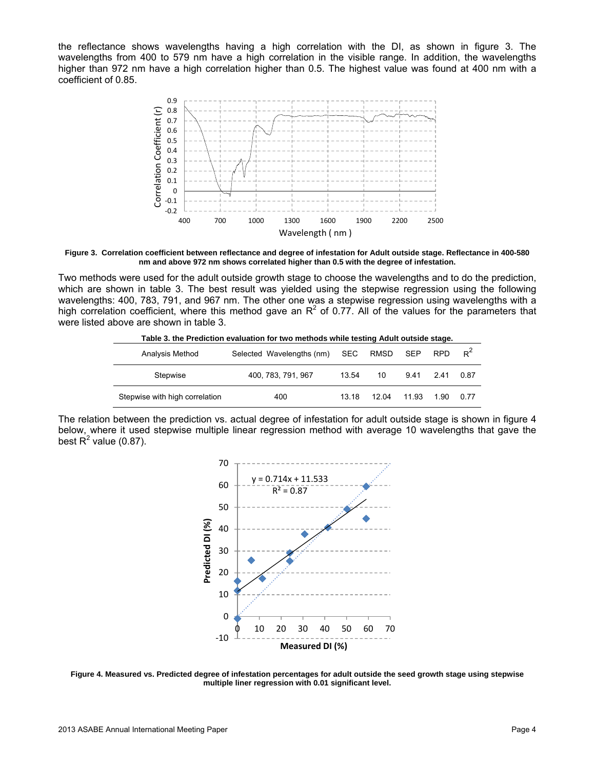the reflectance shows wavelengths having a high correlation with the DI, as shown in figure 3. The wavelengths from 400 to 579 nm have a high correlation in the visible range. In addition, the wavelengths higher than 972 nm have a high correlation higher than 0.5. The highest value was found at 400 nm with a coefficient of 0.85.



**Figure 3. Correlation coefficient between reflectance and degree of infestation for Adult outside stage. Reflectance in 400-580 nm and above 972 nm shows correlated higher than 0.5 with the degree of infestation.** 

Two methods were used for the adult outside growth stage to choose the wavelengths and to do the prediction, which are shown in table 3. The best result was yielded using the stepwise regression using the following wavelengths: 400, 783, 791, and 967 nm. The other one was a stepwise regression using wavelengths with a high correlation coefficient, where this method gave an  $R^2$  of 0.77. All of the values for the parameters that were listed above are shown in table 3.

| Table 3. the Prediction evaluation for two methods while testing Adult outside stage. |                                    |       |       |            |      |       |  |  |  |
|---------------------------------------------------------------------------------------|------------------------------------|-------|-------|------------|------|-------|--|--|--|
| Analysis Method                                                                       | Selected Wavelengths (nm) SEC RMSD |       |       | <b>SEP</b> | RPD. | $R^2$ |  |  |  |
| Stepwise                                                                              | 400, 783, 791, 967                 | 13.54 | 10    | 9.41       | 241  | 0.87  |  |  |  |
| Stepwise with high correlation                                                        | 400                                | 13 18 | 12.04 | 11 93      | 1.90 | 0. 77 |  |  |  |

The relation between the prediction vs. actual degree of infestation for adult outside stage is shown in figure 4 below, where it used stepwise multiple linear regression method with average 10 wavelengths that gave the best  $R^2$  value (0.87).



**Figure 4. Measured vs. Predicted degree of infestation percentages for adult outside the seed growth stage using stepwise multiple liner regression with 0.01 significant level.**